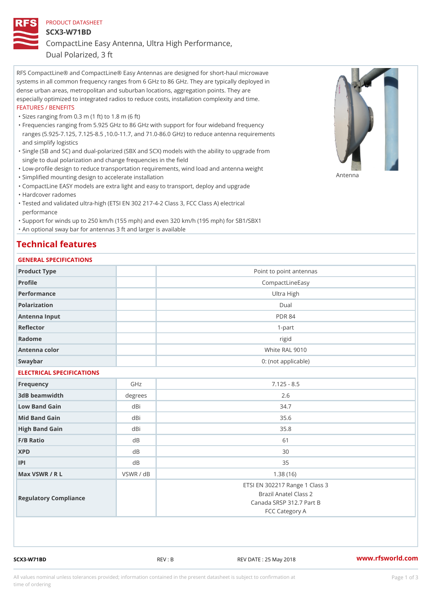# PRODUCT DATASHEET SCX3-W71BD CompactLine Easy Antenna, Ultra High Performance,

Dual Polarized, 3 ft

RFS CompactLine® and CompactLine® Easy Antennas are designed for short-haul microwave systems in all common frequency ranges from 6 GHz to 86 GHz. They are typically deployed in dense urban areas, metropolitan and suburban locations, aggregation points. They are especially optimized to integrated radios to reduce costs, installation complexity and time. FEATURES / BENEFITS

"Sizes ranging from 0.3 m (1 ft) to 1.8 m (6 ft)

- Frequencies ranging from 5.925 GHz to 86 GHz with support for four wideband frequency " ranges (5.925-7.125, 7.125-8.5 ,10.0-11.7, and 71.0-86.0 GHz) to reduce antenna requirements and simplify logistics
- Single (SB and SC) and dual-polarized (SBX and SCX) models with the ability to upgrade from " single to dual polarization and change frequencies in the field
- "Low-profile design to reduce transportation requirements, wind load and antenna weight
- "Simplified mounting design to accelerate installation

 "CompactLine EASY models are extra light and easy to transport, deploy and upgrade "Hardcover radomes

Tested and validated ultra-high (ETSI EN 302 217-4-2 Class 3, FCC Class A) electrical " performance

 "Support for winds up to 250 km/h (155 mph) and even 320 km/h (195 mph) for SB1/SBX1 "An optional sway bar for antennas 3 ft and larger is available

#### Technical features

#### GENERAL SPECIFICATIONS

| Product Type              |                | Point to point antennas        |
|---------------------------|----------------|--------------------------------|
| Profile                   |                | CompactLineEasy                |
| Performance               |                | Ultra High                     |
| Polarization              |                | $D$ ual                        |
| Antenna Input             |                | <b>PDR 84</b>                  |
| Reflector                 |                | $1 - p$ art                    |
| Radome                    |                | rigid                          |
| Antenna color             |                | White RAL 9010                 |
| Swaybar                   |                | 0: (not applicable)            |
| ELECTRICAL SPECIFICATIONS |                |                                |
| Frequency                 | GHz            | $7.125 - 8.5$                  |
| 3dB beamwidth             | degrees        | 2.6                            |
| Low Band Gain             | dBi            | 34.7                           |
| Mid Band Gain             | dBi            | 35.6                           |
| High Band Gain            | dBi            | 35.8                           |
| $F/B$ Ratio               | d B            | 61                             |
| <b>XPD</b>                | d B            | 30                             |
| P                         | d <sub>B</sub> | 35                             |
| Max VSWR / R L            | VSWR / dB      | 1.38(16)                       |
|                           |                | ETSI EN 302217 Range 1 Class 3 |
| Regulatory Compliance     |                | Brazil Anatel Class 2          |
|                           |                | Canada SRSP 312.7 Part B       |
|                           |                | FCC Category A                 |

SCX3-W71BD REV : B REV DATE : 25 May 2018 [www.](https://www.rfsworld.com)rfsworld.com

Antenna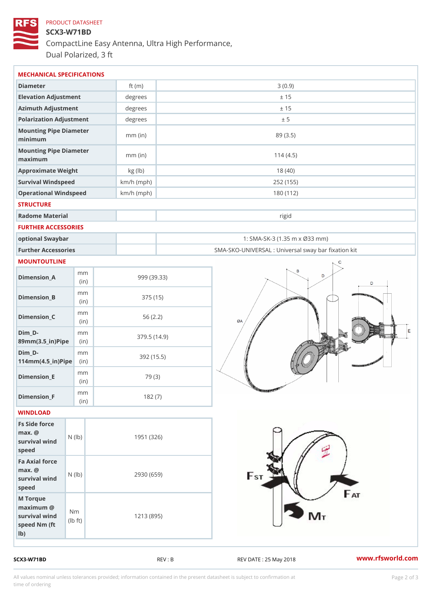### PRODUCT DATASHEET SCX3-W71BD CompactLine Easy Antenna, Ultra High Performance, Dual Polarized, 3 ft

| MECHANICAL SPECIFICATIONS                                                                                     |              |                                                   |
|---------------------------------------------------------------------------------------------------------------|--------------|---------------------------------------------------|
| Diameter                                                                                                      | ft $(m)$     | 3(0.9)                                            |
| Elevation Adjustment                                                                                          | degrees      | ± 15                                              |
| Azimuth Adjustment                                                                                            | degrees      | ± 15                                              |
| Polarization Adjustment                                                                                       | degrees      | ± 5                                               |
| Mounting Pipe Diameter<br>minimum                                                                             | $mm$ (in)    | 89 (3.5)                                          |
| Mounting Pipe Diameter<br>maximum                                                                             | $mm$ (in)    | 114(4.5)                                          |
| Approximate Weight                                                                                            | kg (lb)      | 18(40)                                            |
| Survival Windspeed                                                                                            | $km/h$ (mph) | 252 (155)                                         |
| Operational Windspeed                                                                                         | $km/h$ (mph) | 180 (112)                                         |
| <b>STRUCTURE</b>                                                                                              |              |                                                   |
| Radome Material                                                                                               |              | rigid                                             |
| FURTHER ACCESSORIES                                                                                           |              |                                                   |
| optional Swaybar                                                                                              |              | 1: SMA-SK-3 (1.35 m x Ø33 mm)                     |
| Further Accessories                                                                                           |              | SMA-SKO-UNIVERSAL : Universal sway bar fixation l |
| MOUNTOUTLINE                                                                                                  |              |                                                   |
| m m<br>$Dimension_A$<br>(in)                                                                                  |              | 999 (39.33)                                       |
| m m<br>$Dimension_B$<br>(in)                                                                                  |              | 375(15)                                           |
| m m<br>$Dimension_C$<br>(in)                                                                                  |              | 56(2.2)                                           |
| $Dim_D - D -$<br>m <sub>m</sub><br>89mm (3.5_in) Pi(pine)                                                     |              | 379.5(14.9)                                       |
| $Dim_D - D -$<br>m m<br>$114mm(4.5_{ir})$ $Ri$ p $e$                                                          |              | 392 (15.5)                                        |
| m m<br>$Dimension$ _ $E$<br>(i n)                                                                             |              | 79 (3)                                            |
| m m<br>$Dimen sion_F$<br>(in)                                                                                 |              | 182(7)                                            |
| WINDLOAD                                                                                                      |              |                                                   |
| Fs Side force<br>$max.$ @<br>$(\mathsf{I}\mathsf{b})$<br>survival wind<br>speed                               | 1951 (326)   |                                                   |
| Fa Axial force<br>$max.$ @<br>survival $w \nmid N$ ( $ b$ )<br>speed                                          | 2930 (659)   |                                                   |
| M Torque<br>$maximum$ @<br>N <sub>m</sub><br>survival wind<br>l b<br>$\uparrow$ t)<br>speed Nm (ft)<br>$1b$ ) | 1213 (895)   |                                                   |

SCX3-W71BD REV : B REV : REV DATE : 25 May 2018 WWW.rfsworld.com